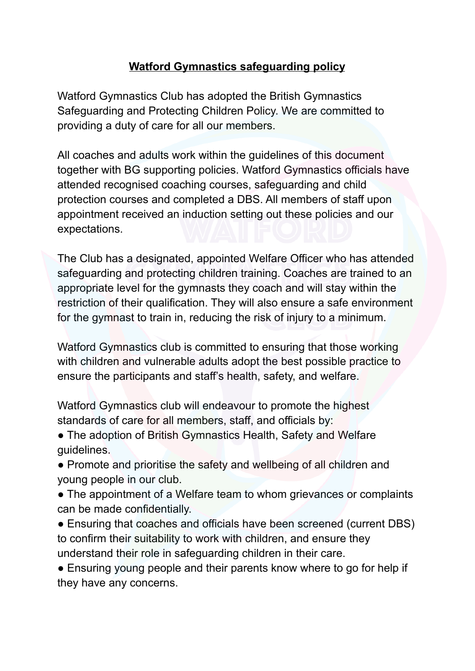## **Watford Gymnastics safeguarding policy**

Watford Gymnastics Club has adopted the British Gymnastics Safeguarding and Protecting Children Policy. We are committed to providing a duty of care for all our members.

All coaches and adults work within the guidelines of this document together with BG supporting policies. Watford Gymnastics officials have attended recognised coaching courses, safeguarding and child protection courses and completed a DBS. All members of staff upon appointment received an induction setting out these policies and our expectations.

The Club has a designated, appointed Welfare Officer who has attended safeguarding and protecting children training. Coaches are trained to an appropriate level for the gymnasts they coach and will stay within the restriction of their qualification. They will also ensure a safe environment for the gymnast to train in, reducing the risk of injury to a minimum.

Watford Gymnastics club is committed to ensuring that those working with children and vulnerable adults adopt the best possible practice to ensure the participants and staff's health, safety, and welfare.

Watford Gymnastics club will endeavour to promote the highest standards of care for all members, staff, and officials by:

• The adoption of British Gymnastics Health, Safety and Welfare guidelines.

• Promote and prioritise the safety and wellbeing of all children and young people in our club.

• The appointment of a Welfare team to whom grievances or complaints can be made confidentially.

• Ensuring that coaches and officials have been screened (current DBS) to confirm their suitability to work with children, and ensure they understand their role in safeguarding children in their care.

• Ensuring young people and their parents know where to go for help if they have any concerns.